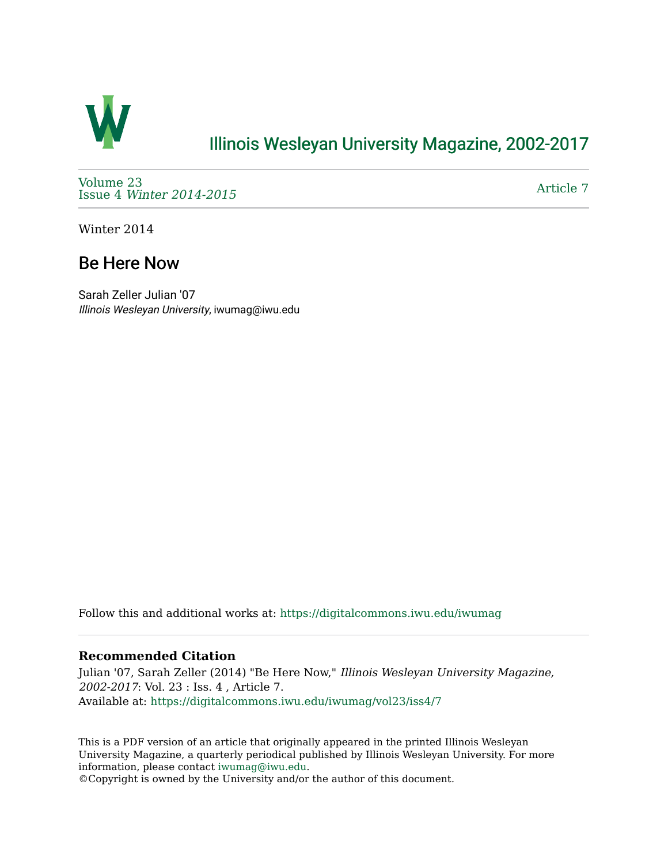

## [Illinois Wesleyan University Magazine, 2002-2017](https://digitalcommons.iwu.edu/iwumag)

[Volume 23](https://digitalcommons.iwu.edu/iwumag/vol23)  Issue 4 [Winter 2014-2015](https://digitalcommons.iwu.edu/iwumag/vol23/iss4)

[Article 7](https://digitalcommons.iwu.edu/iwumag/vol23/iss4/7) 

Winter 2014

## Be Here Now

Sarah Zeller Julian '07 Illinois Wesleyan University, iwumag@iwu.edu

Follow this and additional works at: [https://digitalcommons.iwu.edu/iwumag](https://digitalcommons.iwu.edu/iwumag?utm_source=digitalcommons.iwu.edu%2Fiwumag%2Fvol23%2Fiss4%2F7&utm_medium=PDF&utm_campaign=PDFCoverPages) 

#### **Recommended Citation**

Julian '07, Sarah Zeller (2014) "Be Here Now," Illinois Wesleyan University Magazine, 2002-2017: Vol. 23 : Iss. 4 , Article 7. Available at: [https://digitalcommons.iwu.edu/iwumag/vol23/iss4/7](https://digitalcommons.iwu.edu/iwumag/vol23/iss4/7?utm_source=digitalcommons.iwu.edu%2Fiwumag%2Fvol23%2Fiss4%2F7&utm_medium=PDF&utm_campaign=PDFCoverPages)

This is a PDF version of an article that originally appeared in the printed Illinois Wesleyan University Magazine, a quarterly periodical published by Illinois Wesleyan University. For more information, please contact [iwumag@iwu.edu](mailto:iwumag@iwu.edu).

©Copyright is owned by the University and/or the author of this document.